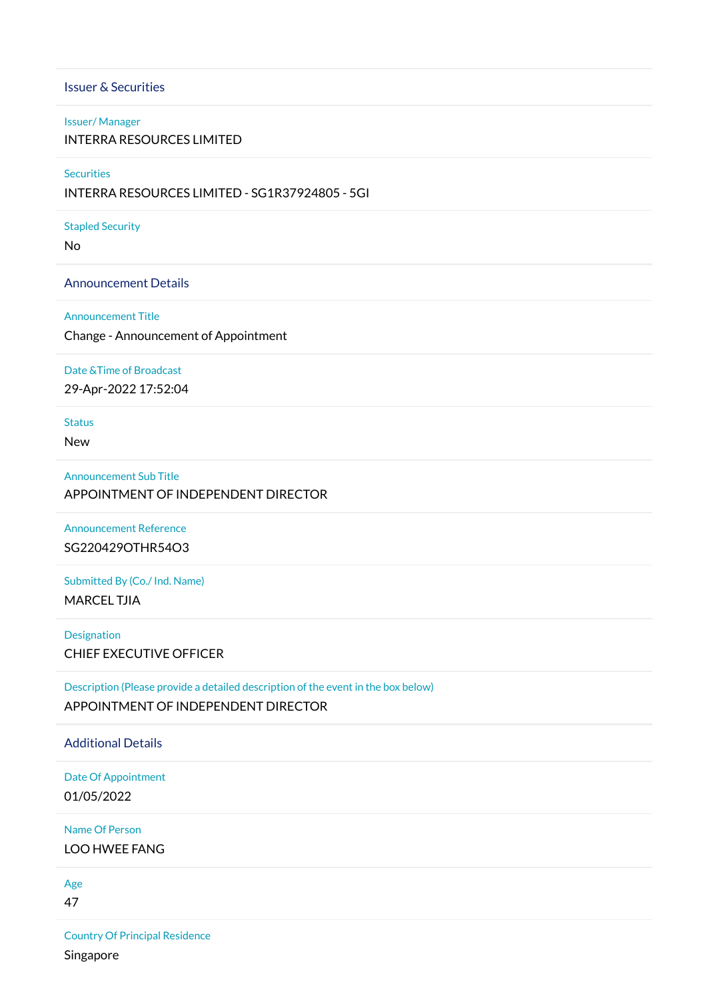## Issuer & Securities

# Issuer/ Manager

INTERRA RESOURCES LIMITED

#### **Securities**

INTERRA RESOURCES LIMITED - SG1R37924805 - 5GI

#### Stapled Security

No

#### Announcement Details

#### Announcement Title

Change - Announcement of Appointment

#### Date &Time of Broadcast

29-Apr-2022 17:52:04

Status

New

## Announcement Sub Title

APPOINTMENT OF INDEPENDENT DIRECTOR

Announcement Reference SG220429OTHR54O3

Submitted By (Co./ Ind. Name) MARCEL TJIA

Designation CHIEF EXECUTIVE OFFICER

Description (Please provide a detailed description of the event in the box below) APPOINTMENT OF INDEPENDENT DIRECTOR

# Additional Details

Date Of Appointment 01/05/2022

Name Of Person LOO HWEE FANG

Age

47

Country Of Principal Residence Singapore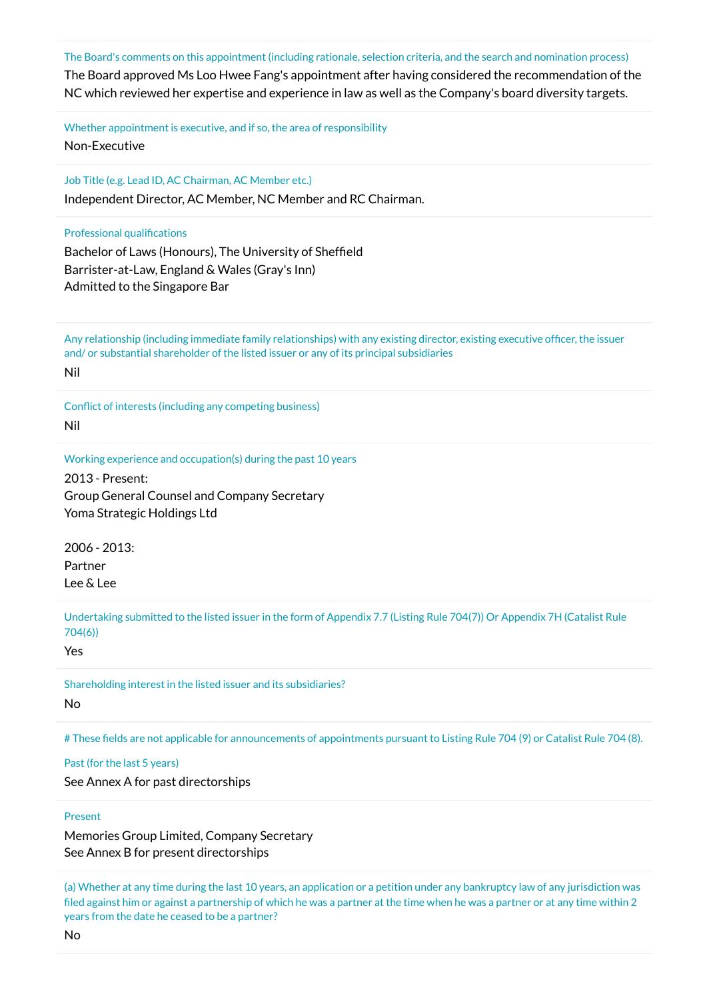The Board's comments on this appointment (including rationale, selection criteria, and the search and nomination process)

The Board approved Ms Loo Hwee Fang's appointment after having considered the recommendation of the NC which reviewed her expertise and experience in law as well as the Company's board diversity targets.

Whether appointment is executive, and if so, the area of responsibility Non-Executive

Job Title (e.g. Lead ID, AC Chairman, AC Member etc.)

Independent Director, AC Member, NC Member and RC Chairman.

#### Professional qualifications

Bachelor of Laws (Honours), The University of Sheffield Barrister-at-Law, England & Wales (Gray's Inn) Admitted to the Singapore Bar

Any relationship (including immediate family relationships) with any existing director, existing executive officer, the issuer and/ or substantial shareholder of the listed issuer or any of its principal subsidiaries Nil

Conflict of interests (including any competing business) Nil

#### Working experience and occupation(s) during the past 10 years

2013 - Present: Group General Counsel and Company Secretary Yoma Strategic Holdings Ltd

2006 - 2013: Partner Lee & Lee

Undertaking submitted to the listed issuer in the form of Appendix 7.7 (Listing Rule 704(7)) Or Appendix 7H (Catalist Rule 704(6))

Yes

Shareholding interest in the listed issuer and its subsidiaries? No

# These fields are not applicable for announcements of appointments pursuant to Listing Rule 704 (9) or Catalist Rule 704 (8).

#### Past (for the last 5 years)

See Annex A for past directorships

#### Present

Memories Group Limited, Company Secretary See Annex B for present directorships

(a) Whether at any time during the last 10 years, an application or a petition under any bankruptcy law of any jurisdiction was filed against him or against a partnership of which he was a partner at the time when he was a partner or at any time within 2 years from the date he ceased to be a partner?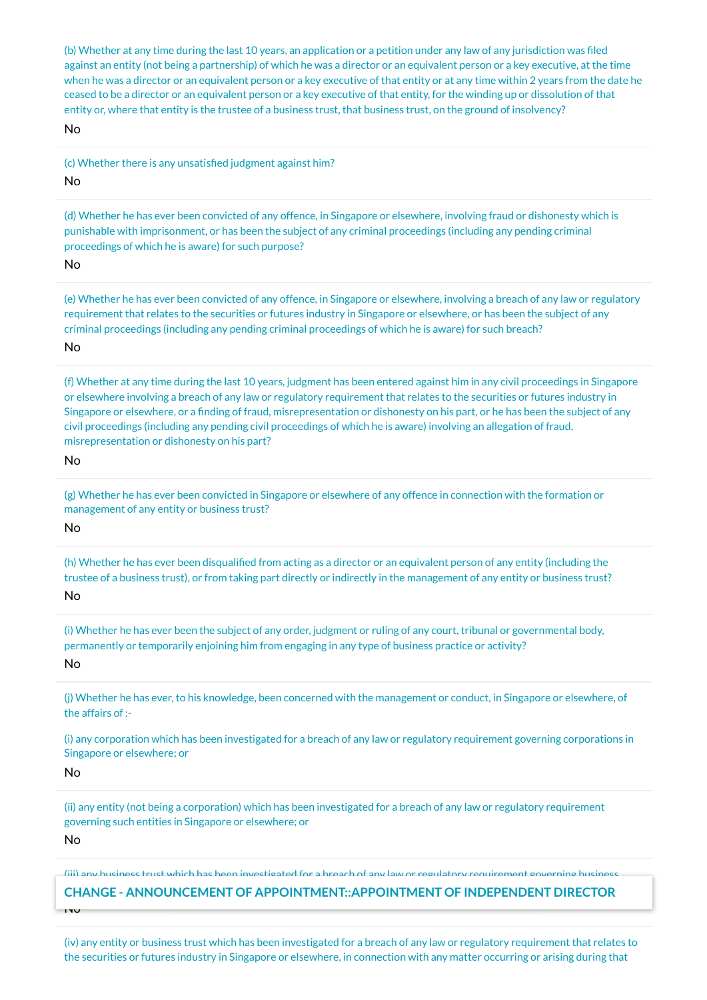(b) Whether at any time during the last 10 years, an application or a petition under any law of any jurisdiction was filed against an entity (not being a partnership) of which he was a director or an equivalent person or a key executive, at the time when he was a director or an equivalent person or a key executive of that entity or at any time within 2 years from the date he ceased to be a director or an equivalent person or a key executive of that entity, for the winding up or dissolution of that entity or, where that entity is the trustee of a business trust, that business trust, on the ground of insolvency? No

(c) Whether there is any unsatisfied judgment against him?

#### No

(d) Whether he has ever been convicted of any offence, in Singapore or elsewhere, involving fraud or dishonesty which is punishable with imprisonment, or has been the subject of any criminal proceedings (including any pending criminal proceedings of which he is aware) for such purpose?

### No

(e) Whether he has ever been convicted of any offence, in Singapore or elsewhere, involving a breach of any law or regulatory requirement that relates to the securities or futures industry in Singapore or elsewhere, or has been the subject of any criminal proceedings (including any pending criminal proceedings of which he is aware) for such breach?

## No

(f) Whether at any time during the last 10 years, judgment has been entered against him in any civil proceedings in Singapore or elsewhere involving a breach of any law or regulatory requirement that relates to the securities or futures industry in Singapore or elsewhere, or a finding of fraud, misrepresentation or dishonesty on his part, or he has been the subject of any civil proceedings (including any pending civil proceedings of which he is aware) involving an allegation of fraud, misrepresentation or dishonesty on his part?

#### No

(g) Whether he has ever been convicted in Singapore or elsewhere of any offence in connection with the formation or management of any entity or business trust?

#### No

(h) Whether he has ever been disqualified from acting as a director or an equivalent person of any entity (including the trustee of a business trust), or from taking part directly or indirectly in the management of any entity or business trust? No

(i) Whether he has ever been the subject of any order, judgment or ruling of any court, tribunal or governmental body, permanently or temporarily enjoining him from engaging in any type of business practice or activity? No

(j) Whether he has ever, to his knowledge, been concerned with the management or conduct, in Singapore or elsewhere, of the affairs of :-

(i) any corporation which has been investigated for a breach of any law or regulatory requirement governing corporations in Singapore or elsewhere; or

#### No

(ii) any entity (not being a corporation) which has been investigated for a breach of any law or regulatory requirement governing such entities in Singapore or elsewhere; or

#### No

No

(iii) any business trust which has been investigated for a breach of any law or regulatory requirement governing business

# trusts in Singapore or elsewhere; or **CHANGE - ANNOUNCEMENT OF APPOINTMENT::APPOINTMENT OF INDEPENDENT DIRECTOR**

(iv) any entity or business trust which has been investigated for a breach of any law or regulatory requirement that relates to the securities or futures industry in Singapore or elsewhere, in connection with any matter occurring or arising during that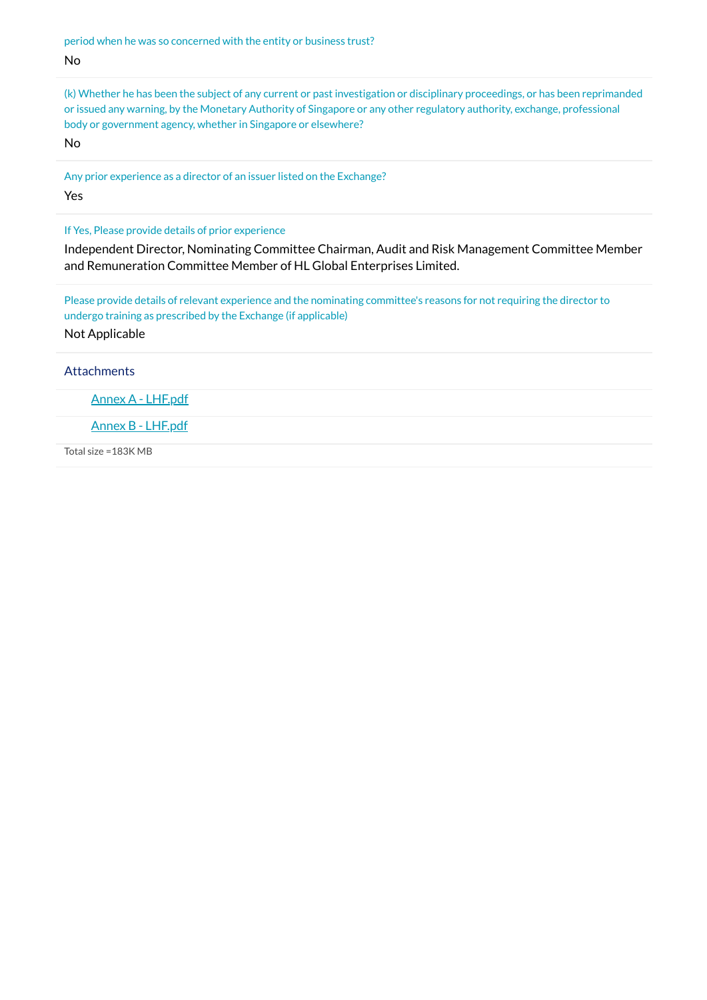period when he was so concerned with the entity or business trust? No

(k) Whether he has been the subject of any current or past investigation or disciplinary proceedings, or has been reprimanded or issued any warning, by the Monetary Authority of Singapore or any other regulatory authority, exchange, professional body or government agency, whether in Singapore or elsewhere?

No

Any prior experience as a director of an issuer listed on the Exchange? Yes

If Yes, Please provide details of prior experience

Independent Director, Nominating Committee Chairman, Audit and Risk Management Committee Member and Remuneration Committee Member of HL Global Enterprises Limited.

Please provide details of relevant experience and the nominating committee's reasons for not requiring the director to undergo training as prescribed by the Exchange (if applicable) Not Applicable

**Attachments** 

Annex A - [LHF.pdf](https://links.sgx.com/1.0.0/corporate-announcements/WQ6JXXR3CFL80WYU/715319_Annex%20A%20-%20LHF.pdf)

Annex B - [LHF.pdf](https://links.sgx.com/1.0.0/corporate-announcements/WQ6JXXR3CFL80WYU/715320_Annex%20B%20-%20LHF.pdf)

Total size =183K MB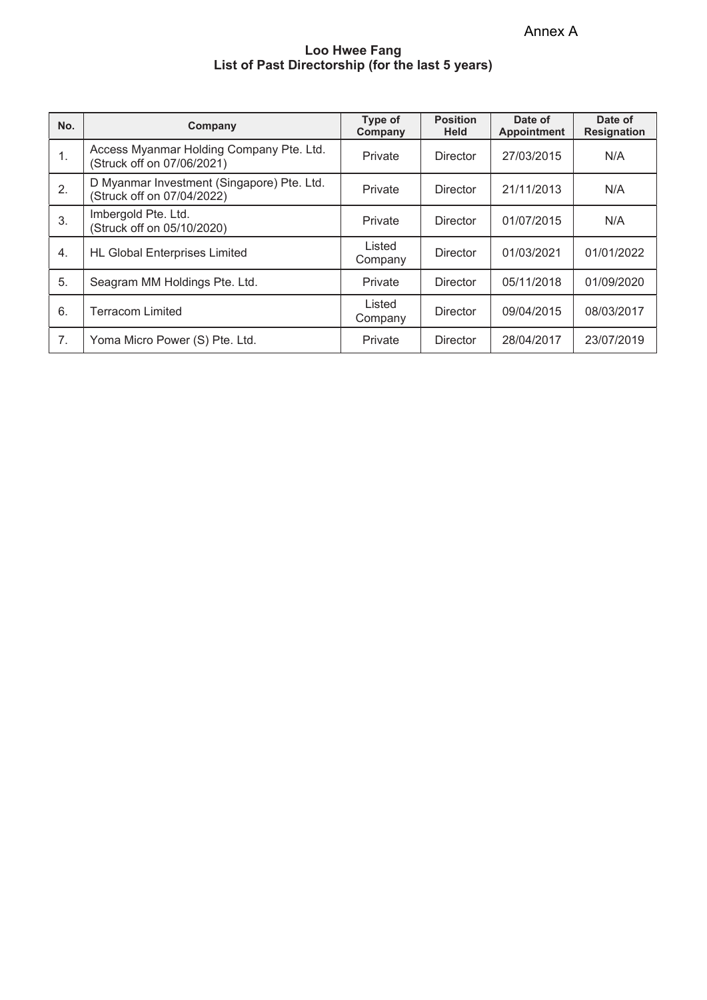Annex A

## **Loo Hwee Fang List of Past Directorship (for the last 5 years)**

| No. | Company                                                                  | Type of<br>Company | <b>Position</b><br><b>Held</b> | Date of<br><b>Appointment</b> | Date of<br><b>Resignation</b> |
|-----|--------------------------------------------------------------------------|--------------------|--------------------------------|-------------------------------|-------------------------------|
| 1.  | Access Myanmar Holding Company Pte. Ltd.<br>(Struck off on 07/06/2021)   | Private            | <b>Director</b>                | 27/03/2015                    | N/A                           |
| 2.  | D Myanmar Investment (Singapore) Pte. Ltd.<br>(Struck off on 07/04/2022) | Private            | <b>Director</b>                | 21/11/2013                    | N/A                           |
| 3.  | Imbergold Pte. Ltd.<br>(Struck off on 05/10/2020)                        | Private            | <b>Director</b>                | 01/07/2015                    | N/A                           |
| 4.  | <b>HL Global Enterprises Limited</b>                                     | Listed<br>Company  | Director                       | 01/03/2021                    | 01/01/2022                    |
| 5.  | Seagram MM Holdings Pte. Ltd.                                            | Private            | <b>Director</b>                | 05/11/2018                    | 01/09/2020                    |
| 6.  | Terracom Limited                                                         | Listed<br>Company  | <b>Director</b>                | 09/04/2015                    | 08/03/2017                    |
| 7.  | Yoma Micro Power (S) Pte. Ltd.                                           | Private            | <b>Director</b>                | 28/04/2017                    | 23/07/2019                    |